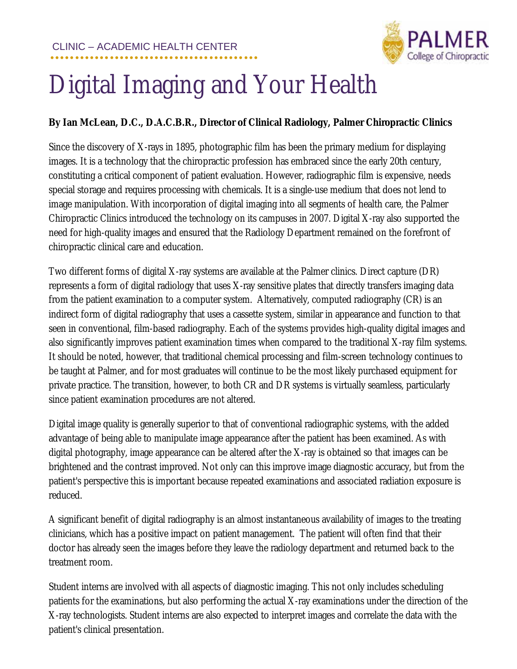

## Digital Imaging and Your Health

## **By Ian McLean, D.C., D.A.C.B.R., Director of Clinical Radiology, Palmer Chiropractic Clinics**

Since the discovery of X-rays in 1895, photographic film has been the primary medium for displaying images. It is a technology that the chiropractic profession has embraced since the early 20th century, constituting a critical component of patient evaluation. However, radiographic film is expensive, needs special storage and requires processing with chemicals. It is a single-use medium that does not lend to image manipulation. With incorporation of digital imaging into all segments of health care, the Palmer Chiropractic Clinics introduced the technology on its campuses in 2007. Digital X-ray also supported the need for high-quality images and ensured that the Radiology Department remained on the forefront of chiropractic clinical care and education.

Two different forms of digital X-ray systems are available at the Palmer clinics. Direct capture (DR) represents a form of digital radiology that uses X-ray sensitive plates that directly transfers imaging data from the patient examination to a computer system. Alternatively, computed radiography (CR) is an indirect form of digital radiography that uses a cassette system, similar in appearance and function to that seen in conventional, film-based radiography. Each of the systems provides high-quality digital images and also significantly improves patient examination times when compared to the traditional X-ray film systems. It should be noted, however, that traditional chemical processing and film-screen technology continues to be taught at Palmer, and for most graduates will continue to be the most likely purchased equipment for private practice. The transition, however, to both CR and DR systems is virtually seamless, particularly since patient examination procedures are not altered.

Digital image quality is generally superior to that of conventional radiographic systems, with the added advantage of being able to manipulate image appearance after the patient has been examined. As with digital photography, image appearance can be altered after the X-ray is obtained so that images can be brightened and the contrast improved. Not only can this improve image diagnostic accuracy, but from the patient's perspective this is important because repeated examinations and associated radiation exposure is reduced.

A significant benefit of digital radiography is an almost instantaneous availability of images to the treating clinicians, which has a positive impact on patient management. The patient will often find that their doctor has already seen the images before they leave the radiology department and returned back to the treatment room.

Student interns are involved with all aspects of diagnostic imaging. This not only includes scheduling patients for the examinations, but also performing the actual X-ray examinations under the direction of the X-ray technologists. Student interns are also expected to interpret images and correlate the data with the patient's clinical presentation.